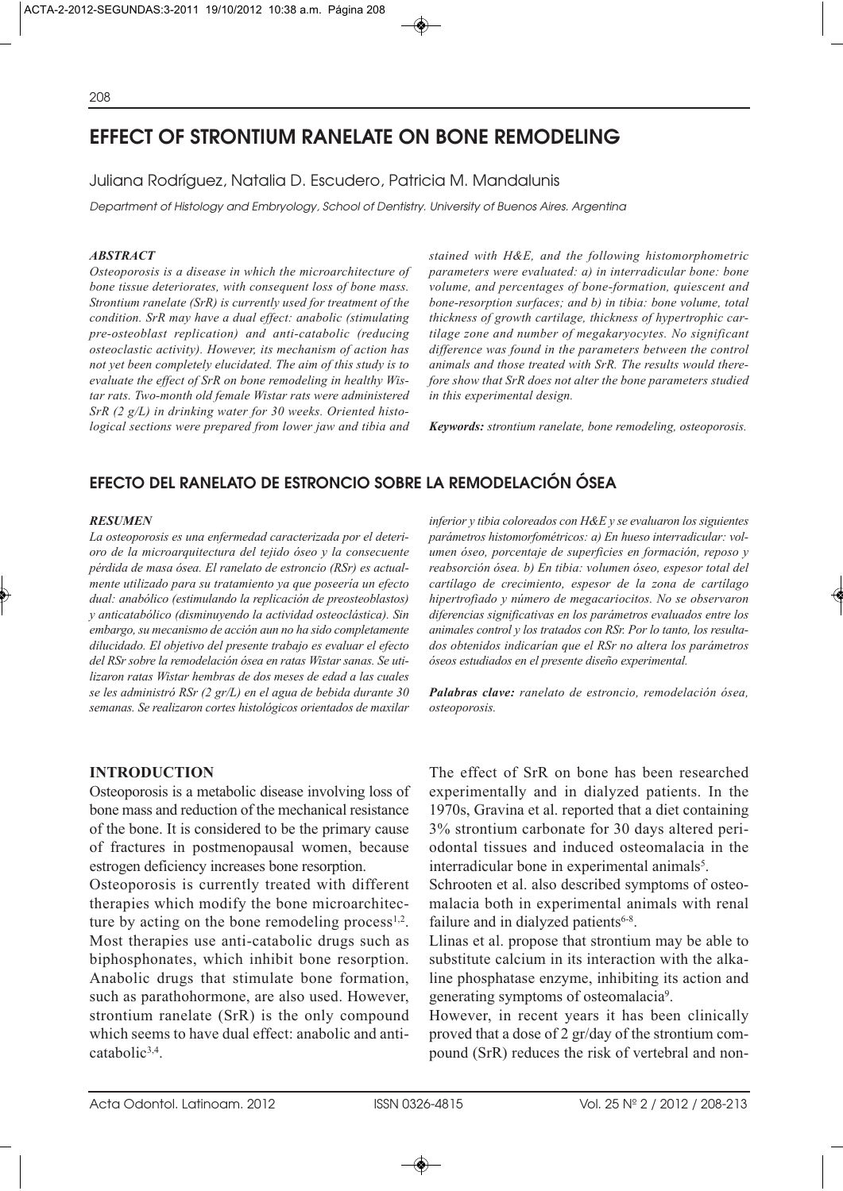# **EFFECT OF STRONTIUM RANELATE ON BONE REMODELING**

## Juliana Rodríguez, Natalia D. Escudero, Patricia M. Mandalunis

Department of Histology and Embryology, School of Dentistry. University of Buenos Aires. Argentina

#### *ABSTRACT*

*Osteoporosis is a disease in which the microarchitecture of bone tissue deteriorates, with consequent loss of bone mass. Strontium ranelate (SrR) is currently used for treatment of the condition. SrR may have a dual effect: anabolic (stimulating pre-osteoblast replication) and anti-catabolic (reducing osteoclastic activity). However, its mechanism of action has not yet been completely elucidated. The aim of this study is to evaluate the effect of SrR on bone remodeling in healthy Wistar rats. Two-month old female Wistar rats were administered SrR (2 g/L) in drinking water for 30 weeks. Oriented histological sections were prepared from lower jaw and tibia and*

*stained with H&E, and the following histomorphometric parameters were evaluated: a) in interradicular bone: bone volume, and percentages of bone-formation, quiescent and bone-resorption surfaces; and b) in tibia: bone volume, total thickness of growth cartilage, thickness of hypertrophic cartilage zone and number of megakaryocytes. No significant difference was found in the parameters between the control animals and those treated with SrR. The results would therefore show that SrR does not alter the bone parameters studied in this experimental design.* 

*Keywords: strontium ranelate, bone remodeling, osteoporosis.*

## **EFECTO DEL RANELATO DE ESTRONCIO SOBRE LA REMODELACIÓN ÓSEA**

#### *RESUMEN*

*La osteoporosis es una enfermedad caracterizada por el deterioro de la microarquitectura del tejido óseo y la consecuente pérdida de masa ósea. El ranelato de estroncio (RSr) es actualmente utilizado para su tratamiento ya que poseería un efecto dual: anabólico (estimulando la replicación de preosteoblastos) y anticatabólico (disminuyendo la actividad osteoclástica). Sin embargo, su mecanismo de acción aun no ha sido completamente dilucidado. El objetivo del presente trabajo es evaluar el efecto del RSr sobre la remodelación ósea en ratas Wistar sanas. Se utilizaron ratas Wistar hembras de dos meses de edad a las cuales se les administró RSr (2 gr/L) en el agua de bebida durante 30 semanas. Se realizaron cortes histológicos orientados de maxilar*

## **INTRODUCTION**

Osteoporosis is a metabolic disease involving loss of bone mass and reduction of the mechanical resistance of the bone. It is considered to be the primary cause of fractures in postmenopausal women, because estrogen deficiency increases bone resorption.

Osteoporosis is currently treated with different therapies which modify the bone microarchitecture by acting on the bone remodeling process $1,2$ . Most therapies use anti-catabolic drugs such as biphosphonates, which inhibit bone resorption. Anabolic drugs that stimulate bone formation, such as parathohormone, are also used. However, strontium ranelate (SrR) is the only compound which seems to have dual effect: anabolic and anticatabolic3,4.

*inferior y tibia coloreados con H&E y se evaluaron los siguientes parámetros histomorfométricos: a) En hueso interradicular: volumen óseo, porcentaje de superficies en formación, reposo y reabsorción ósea. b) En tibia: volumen óseo, espesor total del cartílago de crecimiento, espesor de la zona de cartílago hipertrofiado y número de megacariocitos. No se observaron diferencias significativas en los parámetros evaluados entre los animales control y los tratados con RSr. Por lo tanto, los resultados obtenidos indicarían que el RSr no altera los parámetros óseos estudiados en el presente diseño experimental.*

*Palabras clave: ranelato de estroncio, remodelación ósea, osteoporosis.*

The effect of SrR on bone has been researched experimentally and in dialyzed patients. In the 1970s, Gravina et al. reported that a diet containing 3% strontium carbonate for 30 days altered periodontal tissues and induced osteomalacia in the interradicular bone in experimental animals<sup>5</sup>.

Schrooten et al. also described symptoms of osteomalacia both in experimental animals with renal failure and in dialyzed patients<sup>6-8</sup>.

Llinas et al. propose that strontium may be able to substitute calcium in its interaction with the alkaline phosphatase enzyme, inhibiting its action and generating symptoms of osteomalacia9.

However, in recent years it has been clinically proved that a dose of 2 gr/day of the strontium compound (SrR) reduces the risk of vertebral and non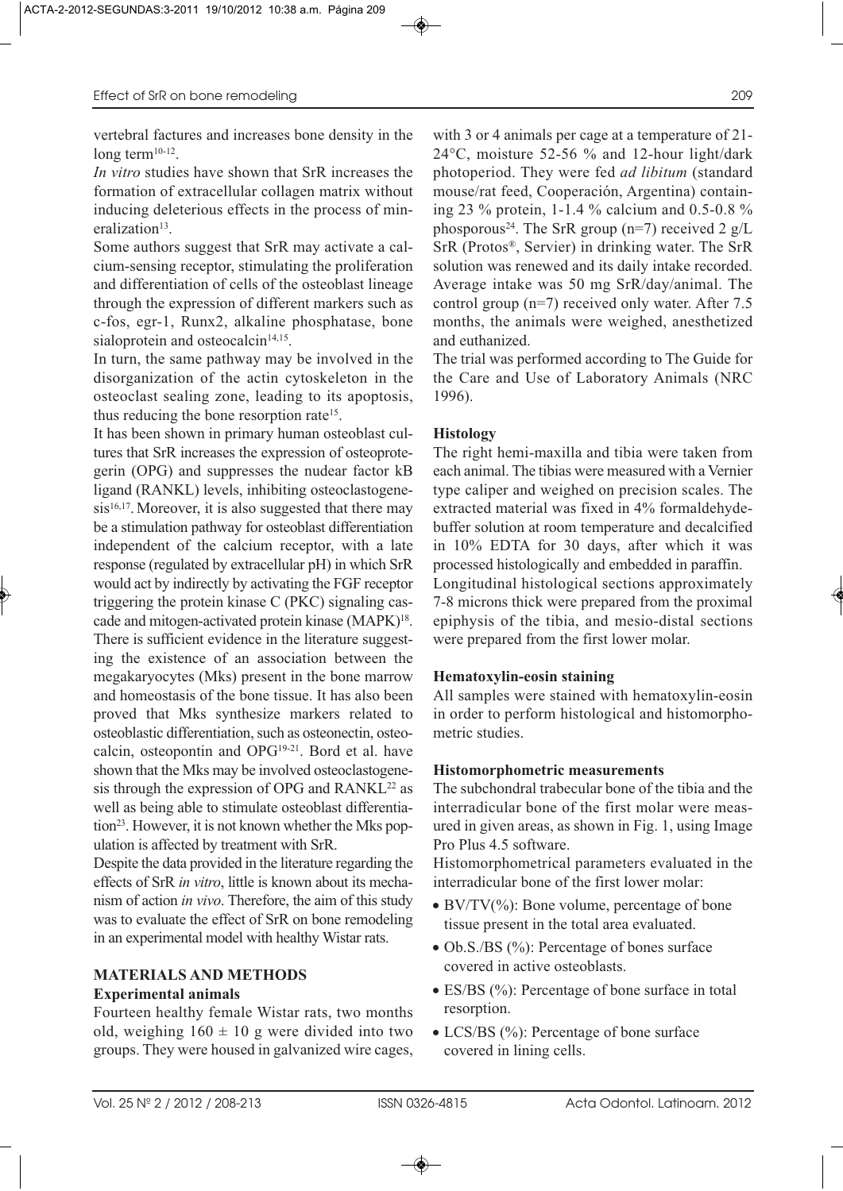vertebral factures and increases bone density in the long term<sup>10-12</sup>.

*In vitro* studies have shown that SrR increases the formation of extracellular collagen matrix without inducing deleterious effects in the process of mineralization<sup>13</sup>.

Some authors suggest that SrR may activate a calcium-sensing receptor, stimulating the proliferation and differentiation of cells of the osteoblast lineage through the expression of different markers such as c-fos, egr-1, Runx2, alkaline phosphatase, bone sialoprotein and osteocalcin<sup>14,15</sup>.

In turn, the same pathway may be involved in the disorganization of the actin cytoskeleton in the osteoclast sealing zone, leading to its apoptosis, thus reducing the bone resorption rate<sup>15</sup>.

It has been shown in primary human osteoblast cultures that SrR increases the expression of osteoprotegerin (OPG) and suppresses the nudear factor kB ligand (RANKL) levels, inhibiting osteoclastogene $sis<sup>16,17</sup>$ . Moreover, it is also suggested that there may be a stimulation pathway for osteoblast differentiation independent of the calcium receptor, with a late response (regulated by extracellular pH) in which SrR would act by indirectly by activating the FGF receptor triggering the protein kinase C (PKC) signaling cascade and mitogen-activated protein kinase (MAPK)<sup>18</sup>. There is sufficient evidence in the literature suggesting the existence of an association between the megakaryocytes (Mks) present in the bone marrow and homeostasis of the bone tissue. It has also been proved that Mks synthesize markers related to osteoblastic differentiation, such as osteonectin, osteocalcin, osteopontin and OPG19-21. Bord et al. have shown that the Mks may be involved osteoclastogenesis through the expression of OPG and RANKL<sup>22</sup> as well as being able to stimulate osteoblast differentiation<sup>23</sup>. However, it is not known whether the Mks population is affected by treatment with SrR.

Despite the data provided in the literature regarding the effects of SrR *in vitro*, little is known about its mechanism of action *in vivo*. Therefore, the aim of this study was to evaluate the effect of SrR on bone remodeling in an experimental model with healthy Wistar rats.

## **MATERIALS AND METHODS Experimental animals**

Fourteen healthy female Wistar rats, two months old, weighing  $160 \pm 10$  g were divided into two groups. They were housed in galvanized wire cages, with 3 or 4 animals per cage at a temperature of 21- 24°C, moisture 52-56 % and 12-hour light/dark photoperiod. They were fed *ad libitum* (standard mouse/rat feed, Cooperación, Argentina) containing 23 % protein, 1-1.4 % calcium and 0.5-0.8 % phosporous<sup>24</sup>. The SrR group (n=7) received 2  $g/L$ SrR (Protos®, Servier) in drinking water. The SrR solution was renewed and its daily intake recorded. Average intake was 50 mg SrR/day/animal. The control group (n=7) received only water. After 7.5 months, the animals were weighed, anesthetized and euthanized.

The trial was performed according to The Guide for the Care and Use of Laboratory Animals (NRC 1996).

## **Histology**

The right hemi-maxilla and tibia were taken from each animal. The tibias were measured with a Vernier type caliper and weighed on precision scales. The extracted material was fixed in 4% formaldehydebuffer solution at room temperature and decalcified in 10% EDTA for 30 days, after which it was processed histologically and embedded in paraffin. Longitudinal histological sections approximately 7-8 microns thick were prepared from the proximal epiphysis of the tibia, and mesio-distal sections were prepared from the first lower molar.

#### **Hematoxylin-eosin staining**

All samples were stained with hematoxylin-eosin in order to perform histological and histomorphometric studies.

#### **Histomorphometric measurements**

The subchondral trabecular bone of the tibia and the interradicular bone of the first molar were measured in given areas, as shown in Fig. 1, using Image Pro Plus 4.5 software.

Histomorphometrical parameters evaluated in the interradicular bone of the first lower molar:

- BV/TV(%): Bone volume, percentage of bone tissue present in the total area evaluated.
- Ob.S./BS (%): Percentage of bones surface covered in active osteoblasts.
- ES/BS (%): Percentage of bone surface in total resorption.
- LCS/BS (%): Percentage of bone surface covered in lining cells.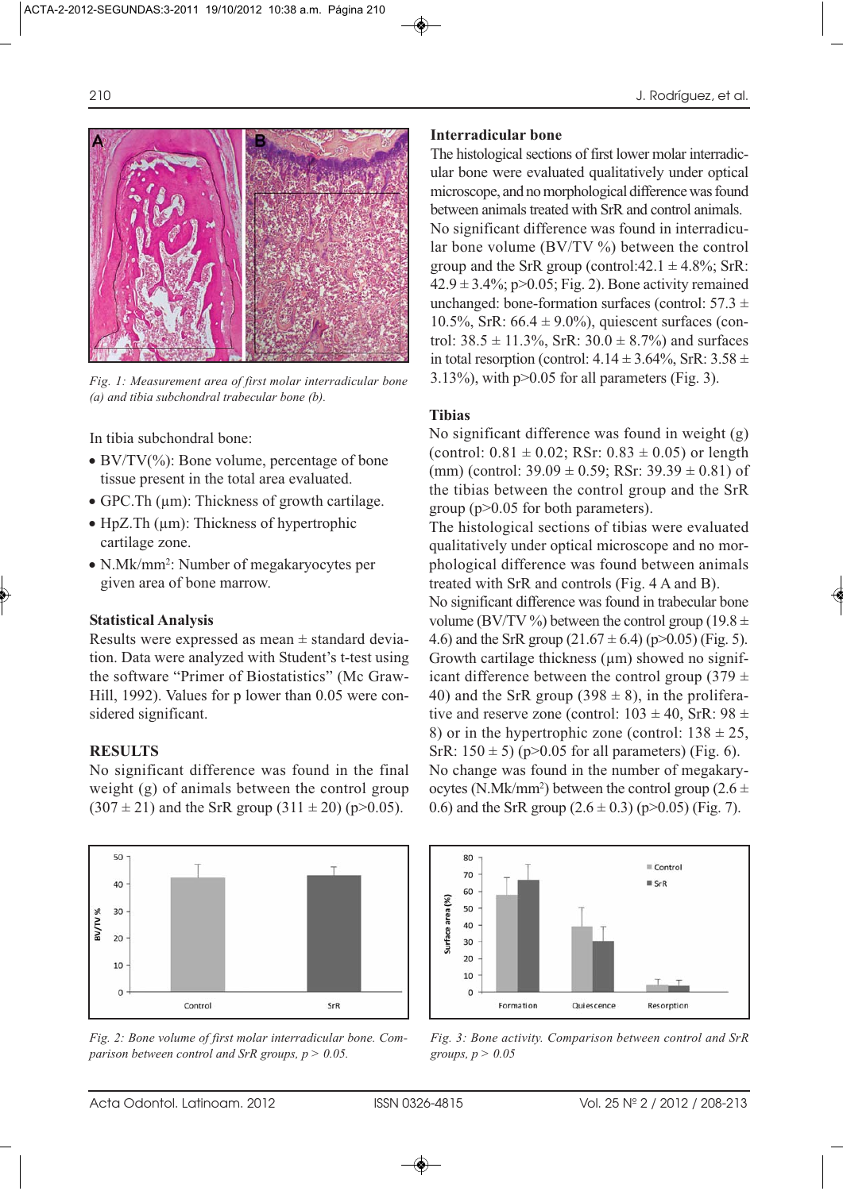

*Fig. 1: Measurement area of first molar interradicular bone (a) and tibia subchondral trabecular bone (b).*

In tibia subchondral bone:

- BV/TV $(\%)$ : Bone volume, percentage of bone tissue present in the total area evaluated.
- GPC. Th (um): Thickness of growth cartilage.
- HpZ.Th  $(\mu m)$ : Thickness of hypertrophic cartilage zone.
- N.Mk/mm2: Number of megakaryocytes per given area of bone marrow.

#### **Statistical Analysis**

Results were expressed as mean  $\pm$  standard deviation. Data were analyzed with Student's t-test using the software "Primer of Biostatistics" (Mc Graw-Hill, 1992). Values for p lower than 0.05 were considered significant.

## **RESULTS**

No significant difference was found in the final weight (g) of animals between the control group  $(307 \pm 21)$  and the SrR group  $(311 \pm 20)$  (p>0.05).



*Fig. 2: Bone volume of first molar interradicular bone. Comparison between control and SrR groups, p > 0.05.*

#### **Interradicular bone**

The histological sections of first lower molar interradicular bone were evaluated qualitatively under optical microscope, and no morphological difference was found between animals treated with SrR and control animals. No significant difference was found in interradicular bone volume (BV/TV %) between the control group and the SrR group (control: $42.1 \pm 4.8\%$ ; SrR:  $42.9 \pm 3.4\%$ ; p $> 0.05$ ; Fig. 2). Bone activity remained unchanged: bone-formation surfaces (control:  $57.3 \pm$ 10.5%, SrR:  $66.4 \pm 9.0\%$ ), quiescent surfaces (control:  $38.5 \pm 11.3\%$ , SrR:  $30.0 \pm 8.7\%$ ) and surfaces in total resorption (control:  $4.14 \pm 3.64\%$ , SrR:  $3.58 \pm 1.64\%$ 3.13%), with  $p > 0.05$  for all parameters (Fig. 3).

## **Tibias**

No significant difference was found in weight (g) (control:  $0.81 \pm 0.02$ ; RSr:  $0.83 \pm 0.05$ ) or length (mm) (control:  $39.09 \pm 0.59$ ; RSr:  $39.39 \pm 0.81$ ) of the tibias between the control group and the SrR group (p>0.05 for both parameters).

The histological sections of tibias were evaluated qualitatively under optical microscope and no morphological difference was found between animals treated with SrR and controls (Fig. 4 A and B).

No significant difference was found in trabecular bone volume (BV/TV %) between the control group (19.8  $\pm$ 4.6) and the SrR group  $(21.67 \pm 6.4)$  (p>0.05) (Fig. 5). Growth cartilage thickness  $(\mu m)$  showed no significant difference between the control group (379  $\pm$ 40) and the SrR group (398  $\pm$  8), in the proliferative and reserve zone (control:  $103 \pm 40$ , SrR:  $98 \pm 10$ 8) or in the hypertrophic zone (control:  $138 \pm 25$ , SrR:  $150 \pm 5$ ) (p>0.05 for all parameters) (Fig. 6). No change was found in the number of megakaryocytes (N.Mk/mm<sup>2</sup>) between the control group (2.6  $\pm$ 0.6) and the SrR group  $(2.6 \pm 0.3)$  (p>0.05) (Fig. 7).



*Fig. 3: Bone activity. Comparison between control and SrR groups, p > 0.05*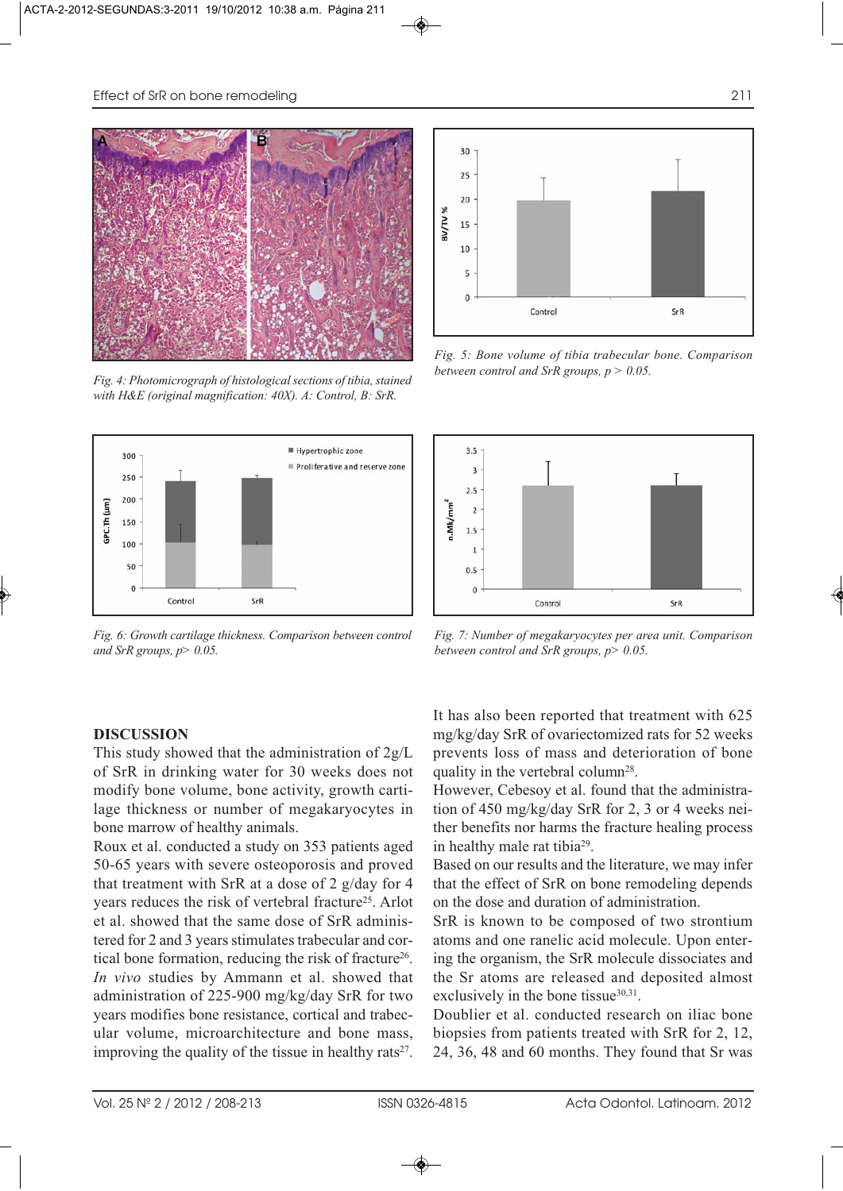

*Fig. 4: Photomicrograph of histological sections of tibia, stained with H&E (original magnification: 40X). A: Control, B: SrR.*



*Fig. 6: Growth cartilage thickness. Comparison between control and SrR groups, p> 0.05.*



*Fig. 5: Bone volume of tibia trabecular bone. Comparison between control and SrR groups, p > 0.05.*



*Fig. 7: Number of megakaryocytes per area unit. Comparison between control and SrR groups, p> 0.05.*

## **DISCUSSION**

This study showed that the administration of 2g/L of SrR in drinking water for 30 weeks does not modify bone volume, bone activity, growth cartilage thickness or number of megakaryocytes in bone marrow of healthy animals.

Roux et al. conducted a study on 353 patients aged 50-65 years with severe osteoporosis and proved that treatment with SrR at a dose of 2 g/day for 4 years reduces the risk of vertebral fracture<sup>25</sup>. Arlot et al. showed that the same dose of SrR administered for 2 and 3 years stimulates trabecular and cortical bone formation, reducing the risk of fracture<sup>26</sup>. *In vivo* studies by Ammann et al. showed that administration of 225-900 mg/kg/day SrR for two years modifies bone resistance, cortical and trabecular volume, microarchitecture and bone mass, improving the quality of the tissue in healthy rats<sup>27</sup>.

It has also been reported that treatment with 625 mg/kg/day SrR of ovariectomized rats for 52 weeks prevents loss of mass and deterioration of bone quality in the vertebral column<sup>28</sup>.

However, Cebesoy et al. found that the administration of 450 mg/kg/day SrR for 2, 3 or 4 weeks neither benefits nor harms the fracture healing process in healthy male rat tibia29.

Based on our results and the literature, we may infer that the effect of SrR on bone remodeling depends on the dose and duration of administration.

SrR is known to be composed of two strontium atoms and one ranelic acid molecule. Upon entering the organism, the SrR molecule dissociates and the Sr atoms are released and deposited almost exclusively in the bone tissue $30,31$ .

Doublier et al. conducted research on iliac bone biopsies from patients treated with SrR for 2, 12, 24, 36, 48 and 60 months. They found that Sr was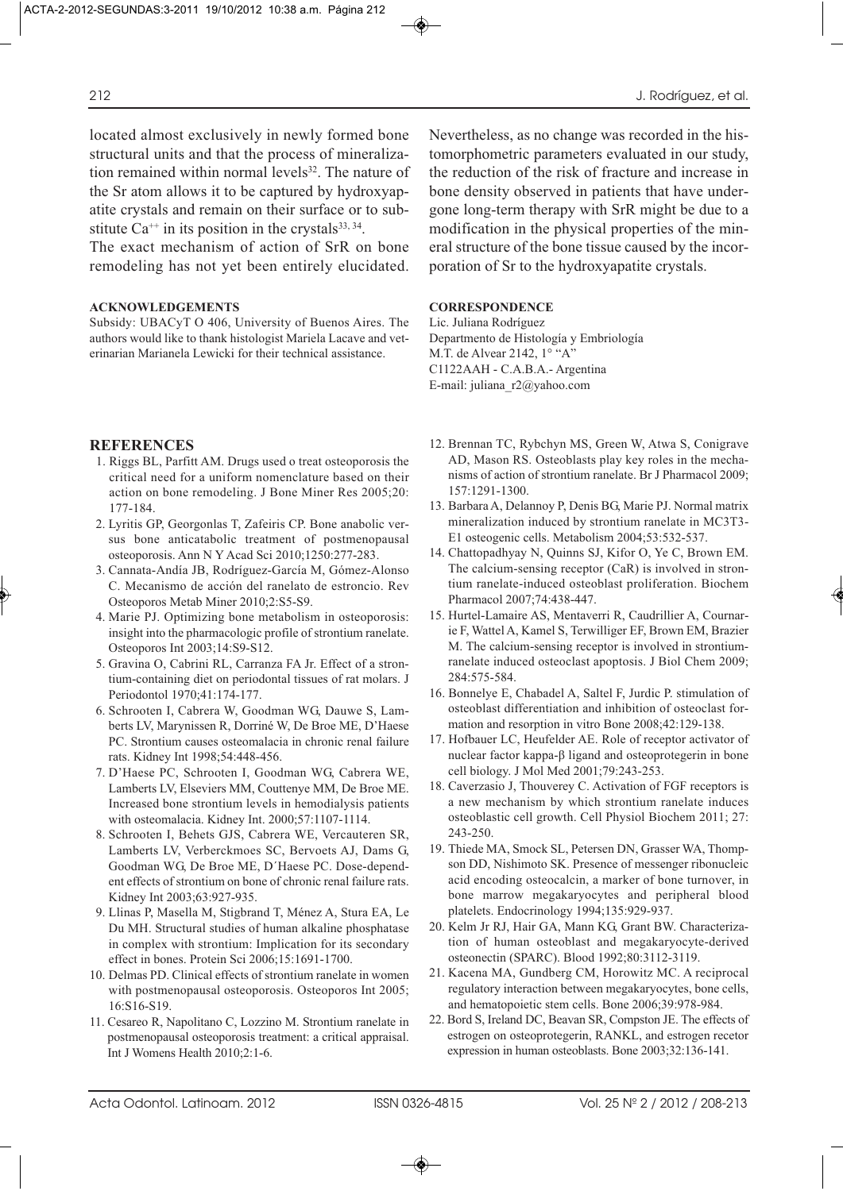The exact mechanism of action of SrR on bone remodeling has not yet been entirely elucidated.

#### **ACKNOWLEDGEMENTS**

Subsidy: UBACyT O 406, University of Buenos Aires. The authors would like to thank histologist Mariela Lacave and veterinarian Marianela Lewicki for their technical assistance.

#### **REFERENCES**

- 1. Riggs BL, Parfitt AM. Drugs used o treat osteoporosis the critical need for a uniform nomenclature based on their action on bone remodeling. J Bone Miner Res 2005;20: 177-184.
- 2. Lyritis GP, Georgonlas T, Zafeiris CP. Bone anabolic versus bone anticatabolic treatment of postmenopausal osteoporosis. Ann N Y Acad Sci 2010;1250:277-283.
- 3. Cannata-Andía JB, Rodríguez-García M, Gómez-Alonso C. Mecanismo de acción del ranelato de estroncio. Rev Osteoporos Metab Miner 2010;2:S5-S9.
- 4. Marie PJ. Optimizing bone metabolism in osteoporosis: insight into the pharmacologic profile of strontium ranelate. Osteoporos Int 2003;14:S9-S12.
- 5. Gravina O, Cabrini RL, Carranza FA Jr. Effect of a strontium-containing diet on periodontal tissues of rat molars. J Periodontol 1970;41:174-177.
- 6. Schrooten I, Cabrera W, Goodman WG, Dauwe S, Lamberts LV, Marynissen R, Dorriné W, De Broe ME, D'Haese PC. Strontium causes osteomalacia in chronic renal failure rats. Kidney Int 1998;54:448-456.
- 7. D'Haese PC, Schrooten I, Goodman WG, Cabrera WE, Lamberts LV, Elseviers MM, Couttenye MM, De Broe ME. Increased bone strontium levels in hemodialysis patients with osteomalacia. Kidney Int. 2000;57:1107-1114.
- 8. Schrooten I, Behets GJS, Cabrera WE, Vercauteren SR, Lamberts LV, Verberckmoes SC, Bervoets AJ, Dams G, Goodman WG, De Broe ME, D´Haese PC. Dose-dependent effects of strontium on bone of chronic renal failure rats. Kidney Int 2003;63:927-935.
- 9. Llinas P, Masella M, Stigbrand T, Ménez A, Stura EA, Le Du MH. Structural studies of human alkaline phosphatase in complex with strontium: Implication for its secondary effect in bones. Protein Sci 2006;15:1691-1700.
- 10. Delmas PD. Clinical effects of strontium ranelate in women with postmenopausal osteoporosis. Osteoporos Int 2005; 16:S16-S19.
- 11. Cesareo R, Napolitano C, Lozzino M. Strontium ranelate in postmenopausal osteoporosis treatment: a critical appraisal. Int J Womens Health 2010;2:1-6.

Nevertheless, as no change was recorded in the histomorphometric parameters evaluated in our study, the reduction of the risk of fracture and increase in bone density observed in patients that have undergone long-term therapy with SrR might be due to a modification in the physical properties of the mineral structure of the bone tissue caused by the incorporation of Sr to the hydroxyapatite crystals.

#### **CORRESPONDENCE**

Lic. Juliana Rodríguez Departmento de Histología y Embriología M.T. de Alvear 2142, 1° "A" C1122AAH - C.A.B.A.- Argentina E-mail: juliana\_r2@yahoo.com

- 12. Brennan TC, Rybchyn MS, Green W, Atwa S, Conigrave AD, Mason RS. Osteoblasts play key roles in the mechanisms of action of strontium ranelate. Br J Pharmacol 2009; 157:1291-1300.
- 13. Barbara A, Delannoy P, Denis BG, Marie PJ. Normal matrix mineralization induced by strontium ranelate in MC3T3- E1 osteogenic cells. Metabolism 2004;53:532-537.
- 14. Chattopadhyay N, Quinns SJ, Kifor O, Ye C, Brown EM. The calcium-sensing receptor (CaR) is involved in strontium ranelate-induced osteoblast proliferation. Biochem Pharmacol 2007;74:438-447.
- 15. Hurtel-Lamaire AS, Mentaverri R, Caudrillier A, Cournarie F, Wattel A, Kamel S, Terwilliger EF, Brown EM, Brazier M. The calcium-sensing receptor is involved in strontiumranelate induced osteoclast apoptosis. J Biol Chem 2009; 284:575-584.
- 16. Bonnelye E, Chabadel A, Saltel F, Jurdic P. stimulation of osteoblast differentiation and inhibition of osteoclast formation and resorption in vitro Bone 2008;42:129-138.
- 17. Hofbauer LC, Heufelder AE. Role of receptor activator of nuclear factor kappa-β ligand and osteoprotegerin in bone cell biology. J Mol Med 2001;79:243-253.
- 18. Caverzasio J, Thouverey C. Activation of FGF receptors is a new mechanism by which strontium ranelate induces osteoblastic cell growth. Cell Physiol Biochem 2011; 27: 243-250.
- 19. Thiede MA, Smock SL, Petersen DN, Grasser WA, Thompson DD, Nishimoto SK. Presence of messenger ribonucleic acid encoding osteocalcin, a marker of bone turnover, in bone marrow megakaryocytes and peripheral blood platelets. Endocrinology 1994;135:929-937.
- 20. Kelm Jr RJ, Hair GA, Mann KG, Grant BW. Characterization of human osteoblast and megakaryocyte-derived osteonectin (SPARC). Blood 1992;80:3112-3119.
- 21. Kacena MA, Gundberg CM, Horowitz MC. A reciprocal regulatory interaction between megakaryocytes, bone cells, and hematopoietic stem cells. Bone 2006;39:978-984.
- 22. Bord S, Ireland DC, Beavan SR, Compston JE. The effects of estrogen on osteoprotegerin, RANKL, and estrogen recetor expression in human osteoblasts. Bone 2003;32:136-141.